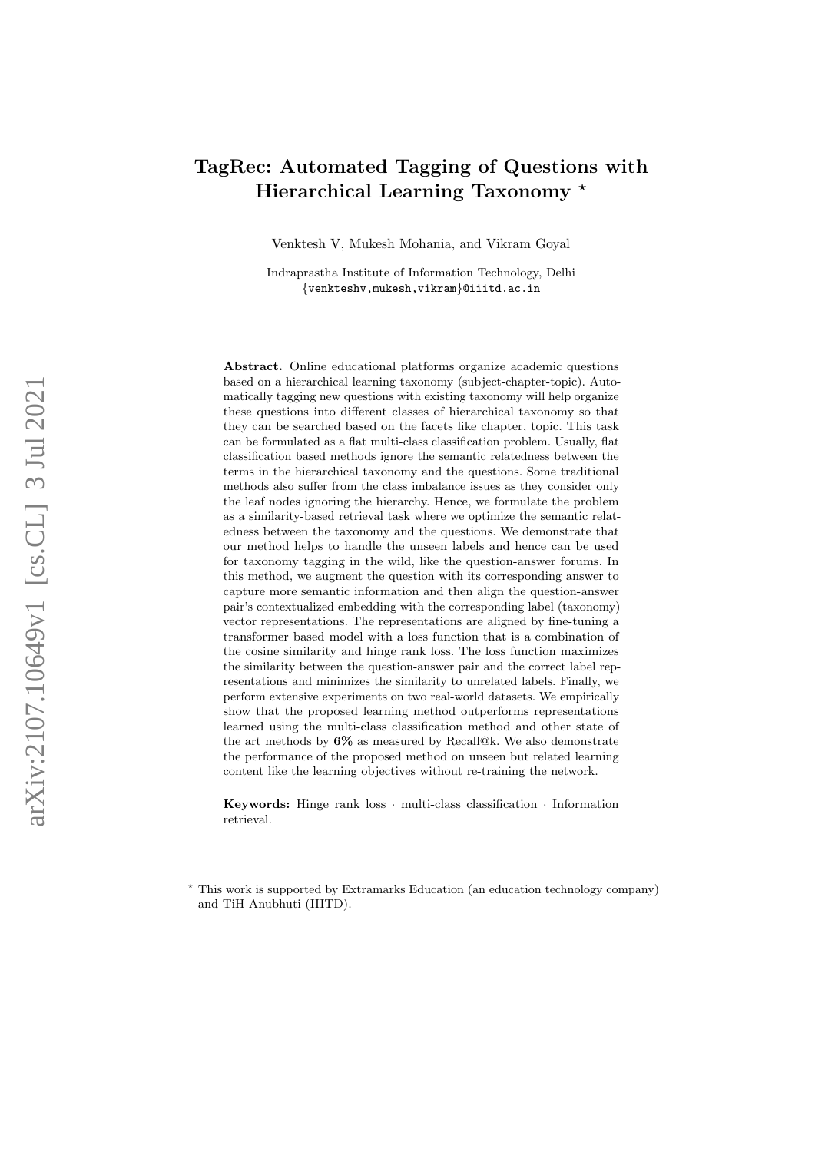# TagRec: Automated Tagging of Questions with Hierarchical Learning Taxonomy \*

Venktesh V, Mukesh Mohania, and Vikram Goyal

Indraprastha Institute of Information Technology, Delhi {venkteshv,mukesh,vikram}@iiitd.ac.in

Abstract. Online educational platforms organize academic questions based on a hierarchical learning taxonomy (subject-chapter-topic). Automatically tagging new questions with existing taxonomy will help organize these questions into different classes of hierarchical taxonomy so that they can be searched based on the facets like chapter, topic. This task can be formulated as a flat multi-class classification problem. Usually, flat classification based methods ignore the semantic relatedness between the terms in the hierarchical taxonomy and the questions. Some traditional methods also suffer from the class imbalance issues as they consider only the leaf nodes ignoring the hierarchy. Hence, we formulate the problem as a similarity-based retrieval task where we optimize the semantic relatedness between the taxonomy and the questions. We demonstrate that our method helps to handle the unseen labels and hence can be used for taxonomy tagging in the wild, like the question-answer forums. In this method, we augment the question with its corresponding answer to capture more semantic information and then align the question-answer pair's contextualized embedding with the corresponding label (taxonomy) vector representations. The representations are aligned by fine-tuning a transformer based model with a loss function that is a combination of the cosine similarity and hinge rank loss. The loss function maximizes the similarity between the question-answer pair and the correct label representations and minimizes the similarity to unrelated labels. Finally, we perform extensive experiments on two real-world datasets. We empirically show that the proposed learning method outperforms representations learned using the multi-class classification method and other state of the art methods by 6% as measured by Recall@k. We also demonstrate the performance of the proposed method on unseen but related learning content like the learning objectives without re-training the network.

Keywords: Hinge rank loss · multi-class classification · Information retrieval.

<sup>?</sup> This work is supported by Extramarks Education (an education technology company) and TiH Anubhuti (IIITD).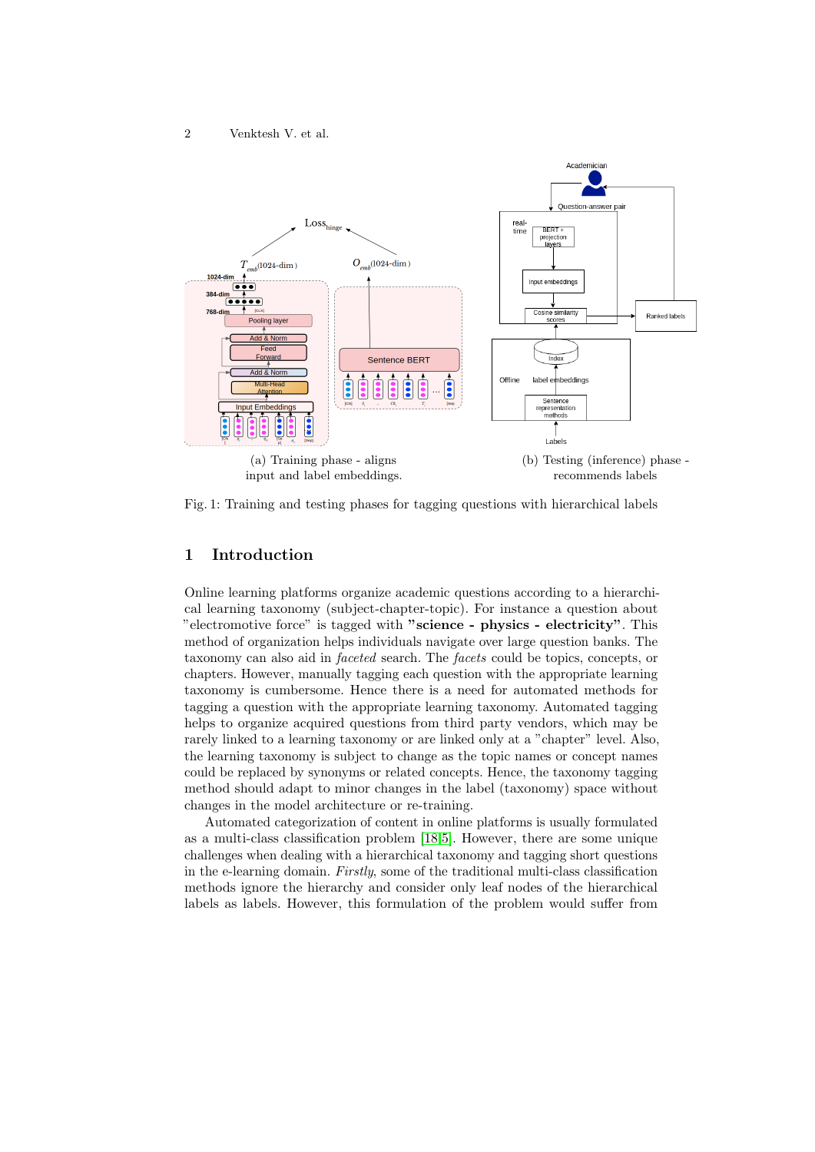

Fig. 1: Training and testing phases for tagging questions with hierarchical labels

# 1 Introduction

Online learning platforms organize academic questions according to a hierarchical learning taxonomy (subject-chapter-topic). For instance a question about "electromotive force" is tagged with "science - physics - electricity". This method of organization helps individuals navigate over large question banks. The taxonomy can also aid in faceted search. The facets could be topics, concepts, or chapters. However, manually tagging each question with the appropriate learning taxonomy is cumbersome. Hence there is a need for automated methods for tagging a question with the appropriate learning taxonomy. Automated tagging helps to organize acquired questions from third party vendors, which may be rarely linked to a learning taxonomy or are linked only at a "chapter" level. Also, the learning taxonomy is subject to change as the topic names or concept names could be replaced by synonyms or related concepts. Hence, the taxonomy tagging method should adapt to minor changes in the label (taxonomy) space without changes in the model architecture or re-training.

Automated categorization of content in online platforms is usually formulated as a multi-class classification problem [\[18,](#page-15-0)[5\]](#page-14-0). However, there are some unique challenges when dealing with a hierarchical taxonomy and tagging short questions in the e-learning domain. Firstly, some of the traditional multi-class classification methods ignore the hierarchy and consider only leaf nodes of the hierarchical labels as labels. However, this formulation of the problem would suffer from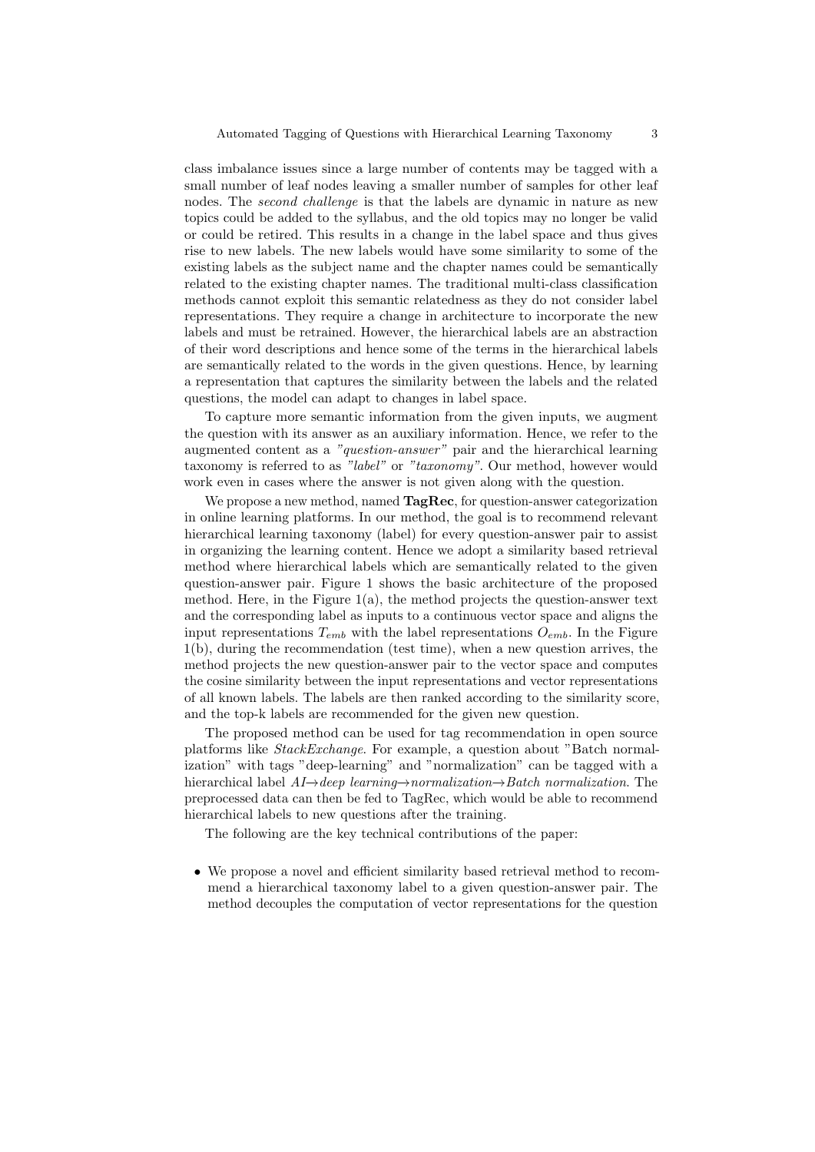class imbalance issues since a large number of contents may be tagged with a small number of leaf nodes leaving a smaller number of samples for other leaf nodes. The *second challenge* is that the labels are dynamic in nature as new topics could be added to the syllabus, and the old topics may no longer be valid or could be retired. This results in a change in the label space and thus gives rise to new labels. The new labels would have some similarity to some of the existing labels as the subject name and the chapter names could be semantically related to the existing chapter names. The traditional multi-class classification methods cannot exploit this semantic relatedness as they do not consider label representations. They require a change in architecture to incorporate the new labels and must be retrained. However, the hierarchical labels are an abstraction of their word descriptions and hence some of the terms in the hierarchical labels are semantically related to the words in the given questions. Hence, by learning a representation that captures the similarity between the labels and the related questions, the model can adapt to changes in label space.

To capture more semantic information from the given inputs, we augment the question with its answer as an auxiliary information. Hence, we refer to the augmented content as a "question-answer" pair and the hierarchical learning taxonomy is referred to as "label" or "taxonomy". Our method, however would work even in cases where the answer is not given along with the question.

We propose a new method, named  $TagRec$ , for question-answer categorization in online learning platforms. In our method, the goal is to recommend relevant hierarchical learning taxonomy (label) for every question-answer pair to assist in organizing the learning content. Hence we adopt a similarity based retrieval method where hierarchical labels which are semantically related to the given question-answer pair. Figure 1 shows the basic architecture of the proposed method. Here, in the Figure  $1(a)$ , the method projects the question-answer text and the corresponding label as inputs to a continuous vector space and aligns the input representations  $T_{emb}$  with the label representations  $O_{emb}$ . In the Figure 1(b), during the recommendation (test time), when a new question arrives, the method projects the new question-answer pair to the vector space and computes the cosine similarity between the input representations and vector representations of all known labels. The labels are then ranked according to the similarity score, and the top-k labels are recommended for the given new question.

The proposed method can be used for tag recommendation in open source platforms like StackExchange. For example, a question about "Batch normalization" with tags "deep-learning" and "normalization" can be tagged with a hierarchical label AI−→deep learning−→normalization−→Batch normalization. The preprocessed data can then be fed to TagRec, which would be able to recommend hierarchical labels to new questions after the training.

The following are the key technical contributions of the paper:

• We propose a novel and efficient similarity based retrieval method to recommend a hierarchical taxonomy label to a given question-answer pair. The method decouples the computation of vector representations for the question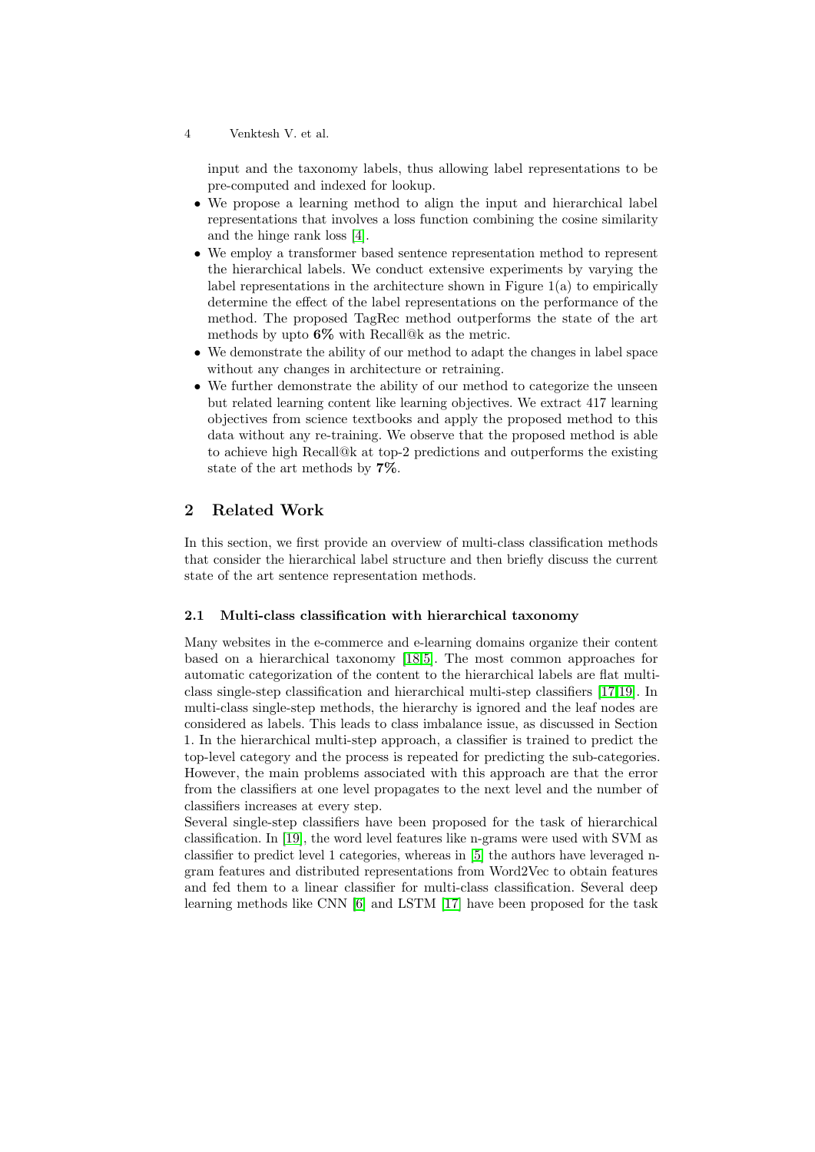#### 4 Venktesh V. et al.

input and the taxonomy labels, thus allowing label representations to be pre-computed and indexed for lookup.

- We propose a learning method to align the input and hierarchical label representations that involves a loss function combining the cosine similarity and the hinge rank loss [\[4\]](#page-14-1).
- We employ a transformer based sentence representation method to represent the hierarchical labels. We conduct extensive experiments by varying the label representations in the architecture shown in Figure  $1(a)$  to empirically determine the effect of the label representations on the performance of the method. The proposed TagRec method outperforms the state of the art methods by upto  $6\%$  with Recall@k as the metric.
- We demonstrate the ability of our method to adapt the changes in label space without any changes in architecture or retraining.
- We further demonstrate the ability of our method to categorize the unseen but related learning content like learning objectives. We extract 417 learning objectives from science textbooks and apply the proposed method to this data without any re-training. We observe that the proposed method is able to achieve high Recall@k at top-2 predictions and outperforms the existing state of the art methods by 7%.

# 2 Related Work

In this section, we first provide an overview of multi-class classification methods that consider the hierarchical label structure and then briefly discuss the current state of the art sentence representation methods.

#### 2.1 Multi-class classification with hierarchical taxonomy

Many websites in the e-commerce and e-learning domains organize their content based on a hierarchical taxonomy [\[18,](#page-15-0)[5\]](#page-14-0). The most common approaches for automatic categorization of the content to the hierarchical labels are flat multiclass single-step classification and hierarchical multi-step classifiers [\[17](#page-15-1)[,19\]](#page-15-2). In multi-class single-step methods, the hierarchy is ignored and the leaf nodes are considered as labels. This leads to class imbalance issue, as discussed in Section 1. In the hierarchical multi-step approach, a classifier is trained to predict the top-level category and the process is repeated for predicting the sub-categories. However, the main problems associated with this approach are that the error from the classifiers at one level propagates to the next level and the number of classifiers increases at every step.

Several single-step classifiers have been proposed for the task of hierarchical classification. In [\[19\]](#page-15-2), the word level features like n-grams were used with SVM as classifier to predict level 1 categories, whereas in [\[5\]](#page-14-0) the authors have leveraged ngram features and distributed representations from Word2Vec to obtain features and fed them to a linear classifier for multi-class classification. Several deep learning methods like CNN [\[6\]](#page-14-2) and LSTM [\[17\]](#page-15-1) have been proposed for the task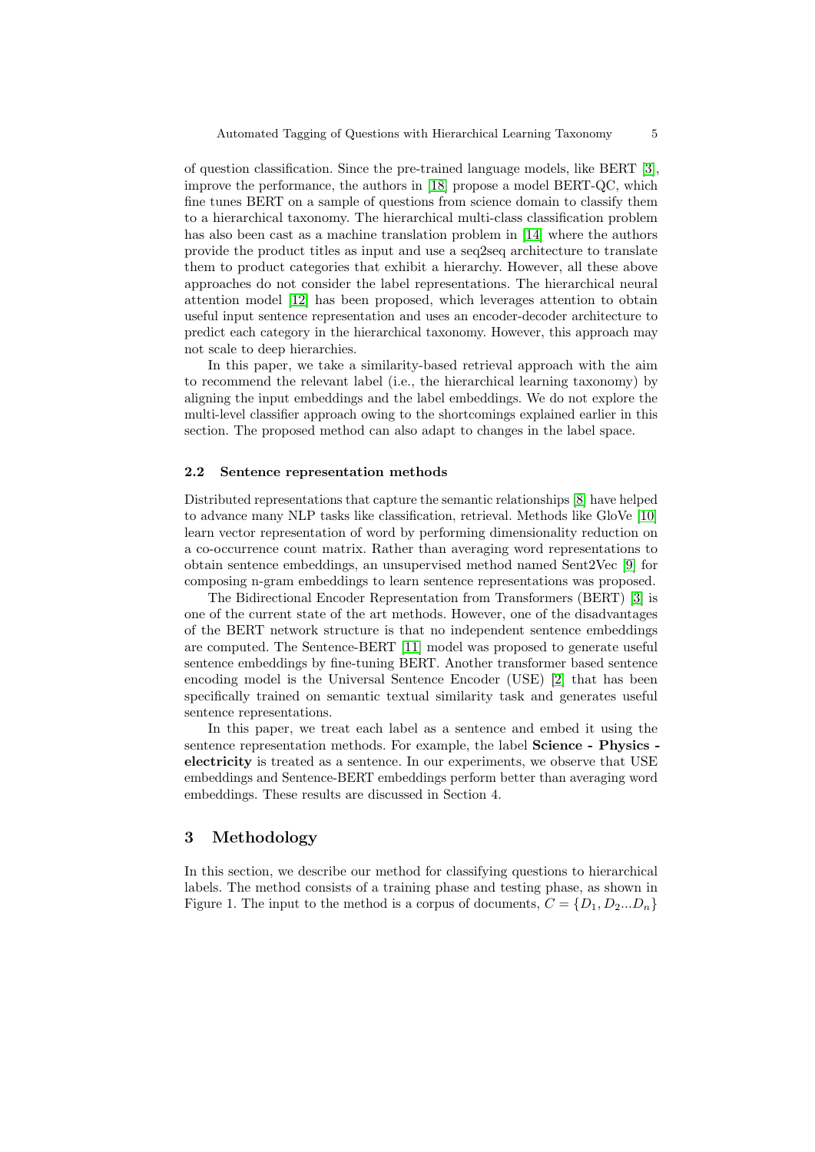of question classification. Since the pre-trained language models, like BERT [\[3\]](#page-14-3), improve the performance, the authors in [\[18\]](#page-15-0) propose a model BERT-QC, which fine tunes BERT on a sample of questions from science domain to classify them to a hierarchical taxonomy. The hierarchical multi-class classification problem has also been cast as a machine translation problem in [\[14\]](#page-15-3) where the authors provide the product titles as input and use a seq2seq architecture to translate them to product categories that exhibit a hierarchy. However, all these above approaches do not consider the label representations. The hierarchical neural attention model [\[12\]](#page-15-4) has been proposed, which leverages attention to obtain useful input sentence representation and uses an encoder-decoder architecture to predict each category in the hierarchical taxonomy. However, this approach may not scale to deep hierarchies.

In this paper, we take a similarity-based retrieval approach with the aim to recommend the relevant label (i.e., the hierarchical learning taxonomy) by aligning the input embeddings and the label embeddings. We do not explore the multi-level classifier approach owing to the shortcomings explained earlier in this section. The proposed method can also adapt to changes in the label space.

#### 2.2 Sentence representation methods

Distributed representations that capture the semantic relationships [\[8\]](#page-15-5) have helped to advance many NLP tasks like classification, retrieval. Methods like GloVe [\[10\]](#page-15-6) learn vector representation of word by performing dimensionality reduction on a co-occurrence count matrix. Rather than averaging word representations to obtain sentence embeddings, an unsupervised method named Sent2Vec [\[9\]](#page-15-7) for composing n-gram embeddings to learn sentence representations was proposed.

The Bidirectional Encoder Representation from Transformers (BERT) [\[3\]](#page-14-3) is one of the current state of the art methods. However, one of the disadvantages of the BERT network structure is that no independent sentence embeddings are computed. The Sentence-BERT [\[11\]](#page-15-8) model was proposed to generate useful sentence embeddings by fine-tuning BERT. Another transformer based sentence encoding model is the Universal Sentence Encoder (USE) [\[2\]](#page-14-4) that has been specifically trained on semantic textual similarity task and generates useful sentence representations.

In this paper, we treat each label as a sentence and embed it using the sentence representation methods. For example, the label Science - Physics electricity is treated as a sentence. In our experiments, we observe that USE embeddings and Sentence-BERT embeddings perform better than averaging word embeddings. These results are discussed in Section 4.

### 3 Methodology

In this section, we describe our method for classifying questions to hierarchical labels. The method consists of a training phase and testing phase, as shown in Figure 1. The input to the method is a corpus of documents,  $C = \{D_1, D_2...D_n\}$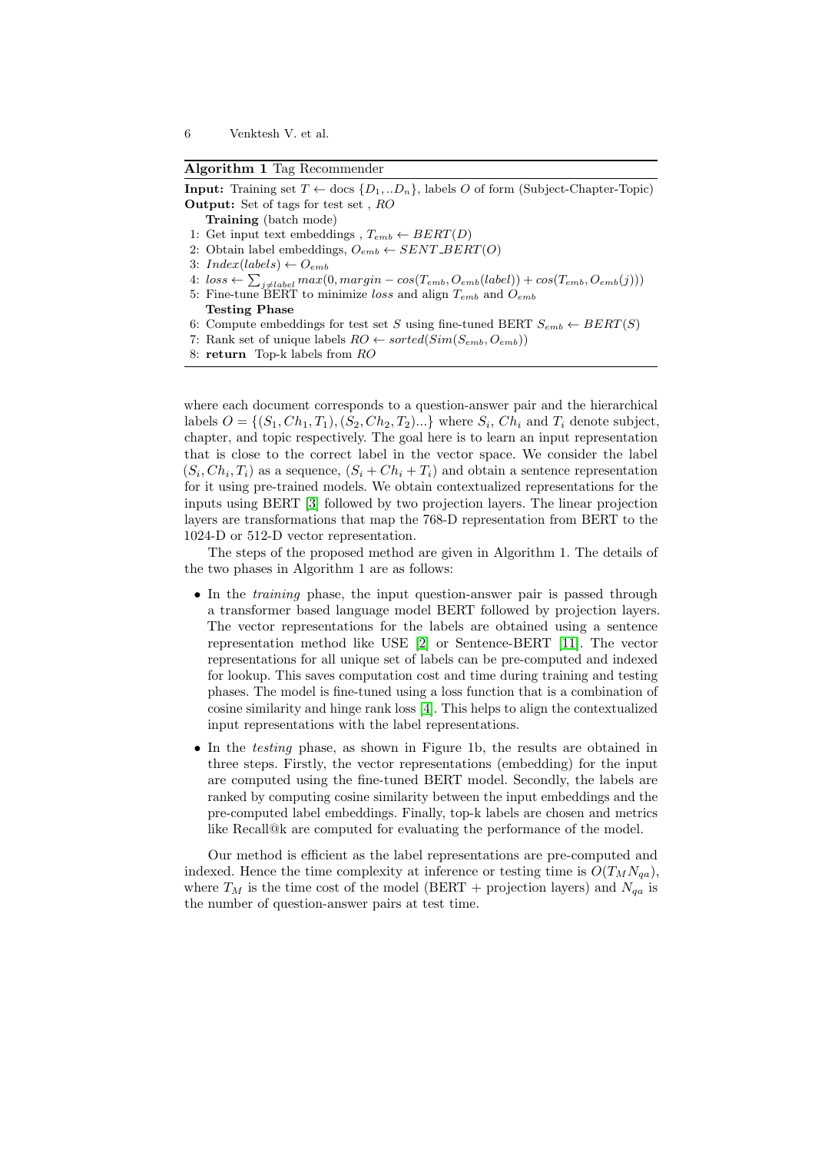Algorithm 1 Tag Recommender

**Input:** Training set  $T \leftarrow \text{docs } \{D_1, D_n\}$ , labels O of form (Subject-Chapter-Topic) Output: Set of tags for test set , RO Training (batch mode) 1: Get input text embeddings,  $T_{emb} \leftarrow BERT(D)$ 2: Obtain label embeddings,  $O_{emb} \leftarrow SENT\_BERT(O)$ 3:  $Index(labels) \leftarrow O_{emb}$ 4:  $loss \leftarrow \sum_{j\neq label} max(0, margin - cos(T_{emb}, O_{emb}(label)) + cos(T_{emb}, O_{emb}(j)))$ 5: Fine-tune BERT to minimize loss and align  $T_{emb}$  and  $O_{emb}$ Testing Phase 6: Compute embeddings for test set S using fine-tuned BERT  $S_{emb} \leftarrow BERT(S)$ 7: Rank set of unique labels  $RO \leftarrow sorted(Sim(S_{emb}, O_{emb}))$ 8: return Top-k labels from RO

where each document corresponds to a question-answer pair and the hierarchical labels  $O = \{(S_1, Ch_1, T_1), (S_2, Ch_2, T_2) \dots\}$  where  $S_i$ ,  $Ch_i$  and  $T_i$  denote subject, chapter, and topic respectively. The goal here is to learn an input representation that is close to the correct label in the vector space. We consider the label  $(S_i, Ch_i, T_i)$  as a sequence,  $(S_i + Ch_i + T_i)$  and obtain a sentence representation for it using pre-trained models. We obtain contextualized representations for the inputs using BERT [\[3\]](#page-14-3) followed by two projection layers. The linear projection layers are transformations that map the 768-D representation from BERT to the 1024-D or 512-D vector representation.

The steps of the proposed method are given in Algorithm 1. The details of the two phases in Algorithm 1 are as follows:

- In the *training* phase, the input question-answer pair is passed through a transformer based language model BERT followed by projection layers. The vector representations for the labels are obtained using a sentence representation method like USE [\[2\]](#page-14-4) or Sentence-BERT [\[11\]](#page-15-8). The vector representations for all unique set of labels can be pre-computed and indexed for lookup. This saves computation cost and time during training and testing phases. The model is fine-tuned using a loss function that is a combination of cosine similarity and hinge rank loss [\[4\]](#page-14-1). This helps to align the contextualized input representations with the label representations.
- In the *testing* phase, as shown in Figure 1b, the results are obtained in three steps. Firstly, the vector representations (embedding) for the input are computed using the fine-tuned BERT model. Secondly, the labels are ranked by computing cosine similarity between the input embeddings and the pre-computed label embeddings. Finally, top-k labels are chosen and metrics like Recall@k are computed for evaluating the performance of the model.

Our method is efficient as the label representations are pre-computed and indexed. Hence the time complexity at inference or testing time is  $O(T_M N_{qa})$ , where  $T_M$  is the time cost of the model (BERT + projection layers) and  $N_{qa}$  is the number of question-answer pairs at test time.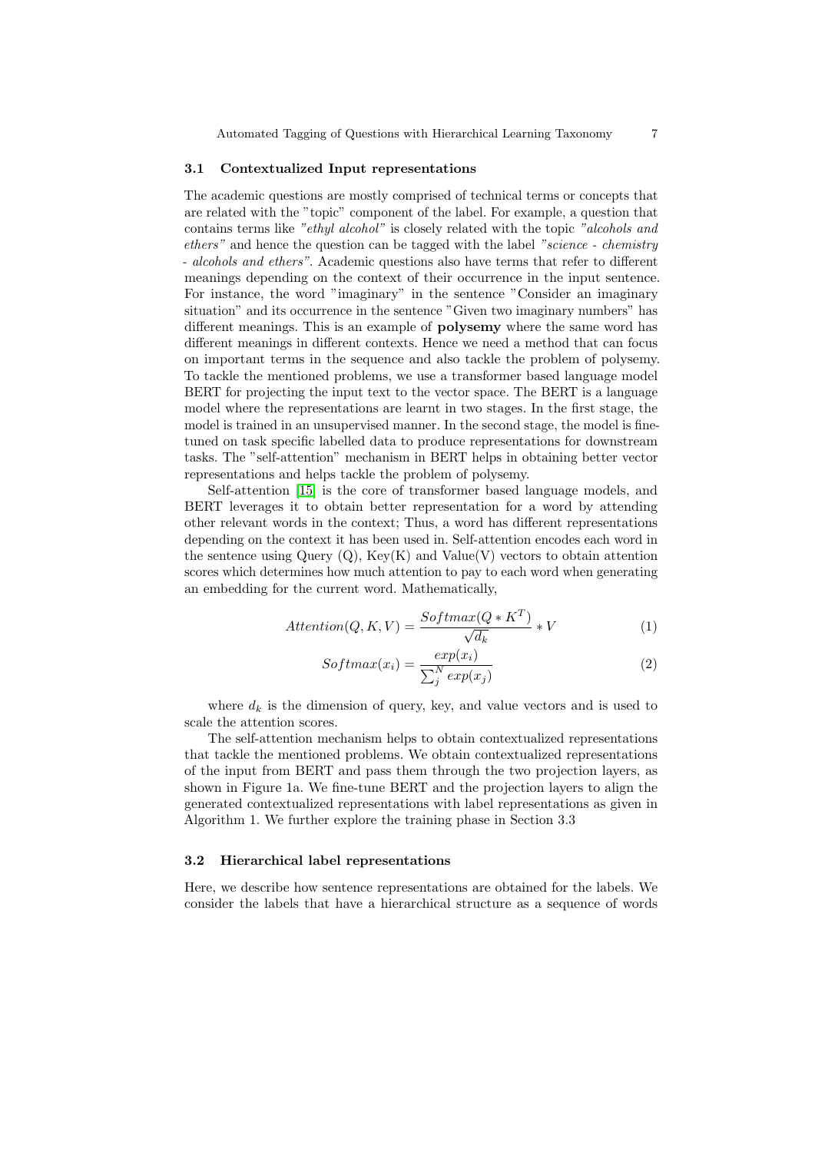#### 3.1 Contextualized Input representations

The academic questions are mostly comprised of technical terms or concepts that are related with the "topic" component of the label. For example, a question that contains terms like "ethyl alcohol" is closely related with the topic "alcohols and ethers" and hence the question can be tagged with the label "science - chemistry - alcohols and ethers". Academic questions also have terms that refer to different meanings depending on the context of their occurrence in the input sentence. For instance, the word "imaginary" in the sentence "Consider an imaginary situation" and its occurrence in the sentence "Given two imaginary numbers" has different meanings. This is an example of **polysemy** where the same word has different meanings in different contexts. Hence we need a method that can focus on important terms in the sequence and also tackle the problem of polysemy. To tackle the mentioned problems, we use a transformer based language model BERT for projecting the input text to the vector space. The BERT is a language model where the representations are learnt in two stages. In the first stage, the model is trained in an unsupervised manner. In the second stage, the model is finetuned on task specific labelled data to produce representations for downstream tasks. The "self-attention" mechanism in BERT helps in obtaining better vector representations and helps tackle the problem of polysemy.

Self-attention [\[15\]](#page-15-9) is the core of transformer based language models, and BERT leverages it to obtain better representation for a word by attending other relevant words in the context; Thus, a word has different representations depending on the context it has been used in. Self-attention encodes each word in the sentence using Query  $(Q)$ , Key(K) and Value(V) vectors to obtain attention scores which determines how much attention to pay to each word when generating an embedding for the current word. Mathematically,

$$
Attention(Q, K, V) = \frac{Softmax(Q * K^{T})}{\sqrt{d_k}} * V
$$
\n(1)

$$
Softmax(x_i) = \frac{exp(x_i)}{\sum_{j}^{N} exp(x_j)}
$$
\n(2)

where  $d_k$  is the dimension of query, key, and value vectors and is used to scale the attention scores.

The self-attention mechanism helps to obtain contextualized representations that tackle the mentioned problems. We obtain contextualized representations of the input from BERT and pass them through the two projection layers, as shown in Figure 1a. We fine-tune BERT and the projection layers to align the generated contextualized representations with label representations as given in Algorithm 1. We further explore the training phase in Section 3.3

#### 3.2 Hierarchical label representations

Here, we describe how sentence representations are obtained for the labels. We consider the labels that have a hierarchical structure as a sequence of words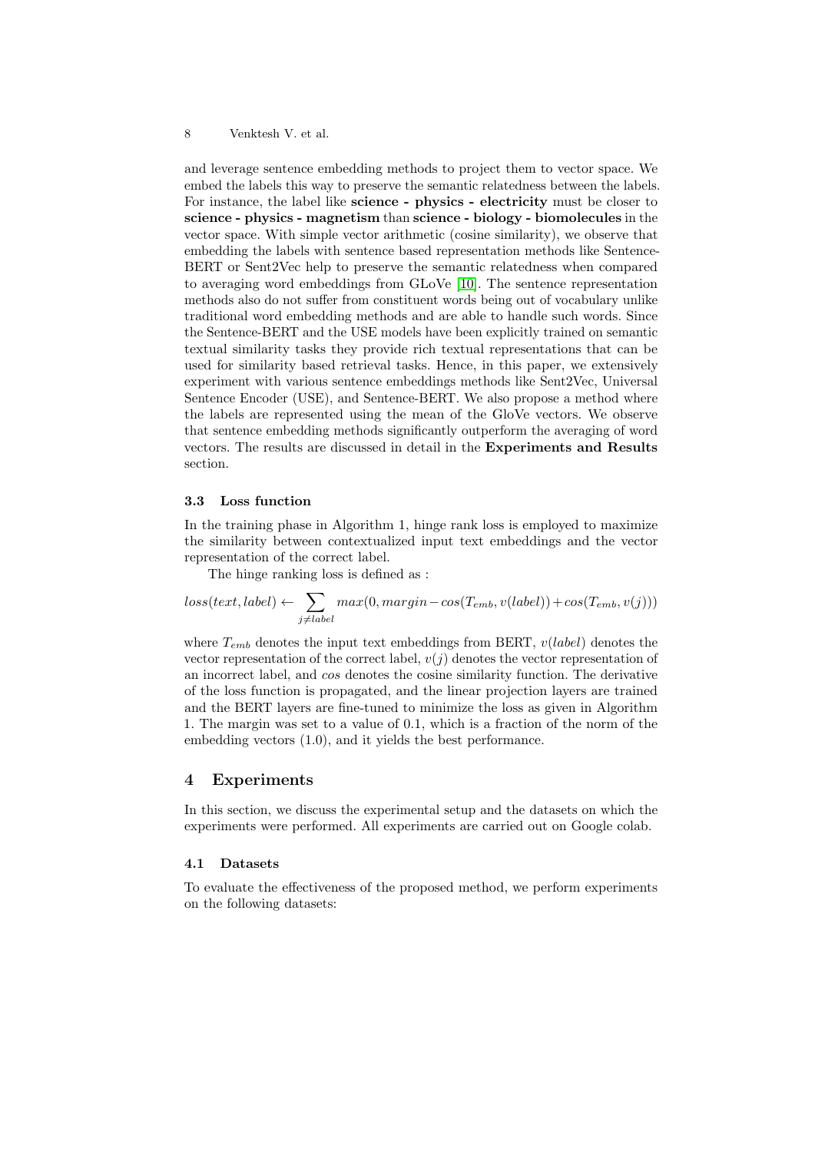#### 8 Venktesh V. et al.

and leverage sentence embedding methods to project them to vector space. We embed the labels this way to preserve the semantic relatedness between the labels. For instance, the label like science - physics - electricity must be closer to science - physics - magnetism than science - biology - biomolecules in the vector space. With simple vector arithmetic (cosine similarity), we observe that embedding the labels with sentence based representation methods like Sentence-BERT or Sent2Vec help to preserve the semantic relatedness when compared to averaging word embeddings from GLoVe [\[10\]](#page-15-6). The sentence representation methods also do not suffer from constituent words being out of vocabulary unlike traditional word embedding methods and are able to handle such words. Since the Sentence-BERT and the USE models have been explicitly trained on semantic textual similarity tasks they provide rich textual representations that can be used for similarity based retrieval tasks. Hence, in this paper, we extensively experiment with various sentence embeddings methods like Sent2Vec, Universal Sentence Encoder (USE), and Sentence-BERT. We also propose a method where the labels are represented using the mean of the GloVe vectors. We observe that sentence embedding methods significantly outperform the averaging of word vectors. The results are discussed in detail in the Experiments and Results section.

#### 3.3 Loss function

In the training phase in Algorithm 1, hinge rank loss is employed to maximize the similarity between contextualized input text embeddings and the vector representation of the correct label.

The hinge ranking loss is defined as :

$$
loss(text, label) \leftarrow \sum_{j \neq label} max(0, margin - cos(T_{emb}, v(label)) + cos(T_{emb}, v(j)))
$$

where  $T_{emb}$  denotes the input text embeddings from BERT,  $v(label)$  denotes the vector representation of the correct label,  $v(j)$  denotes the vector representation of an incorrect label, and cos denotes the cosine similarity function. The derivative of the loss function is propagated, and the linear projection layers are trained and the BERT layers are fine-tuned to minimize the loss as given in Algorithm 1. The margin was set to a value of 0.1, which is a fraction of the norm of the embedding vectors (1.0), and it yields the best performance.

#### 4 Experiments

In this section, we discuss the experimental setup and the datasets on which the experiments were performed. All experiments are carried out on Google colab.

#### 4.1 Datasets

To evaluate the effectiveness of the proposed method, we perform experiments on the following datasets: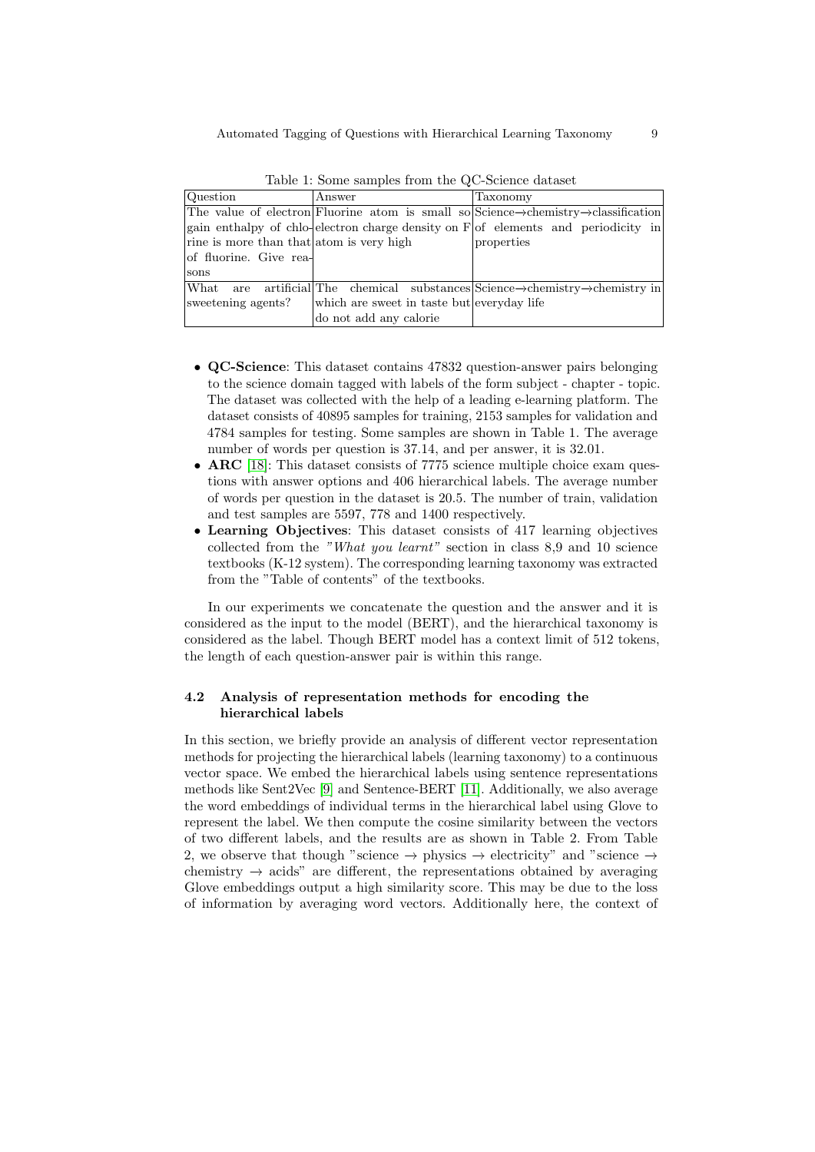Table 1: Some samples from the QC-Science dataset Question Answer Taxonomy Fluorine atom is small so

| www.uc                                   | $1.1133$ VV $1.1$                          | <b>TUVOLIOII</b>                                                                                             |
|------------------------------------------|--------------------------------------------|--------------------------------------------------------------------------------------------------------------|
|                                          |                                            | The value of electron Fluorine atom is small so Science $\rightarrow$ chemistry $\rightarrow$ classification |
|                                          |                                            | gain enthalpy of chlo-electron charge density on $F$ of elements and periodicity in                          |
| rine is more than that atom is very high |                                            | properties                                                                                                   |
| of fluorine. Give rea-                   |                                            |                                                                                                              |
| sons                                     |                                            |                                                                                                              |
| What                                     |                                            | are artificial The chemical substances Science $\rightarrow$ chemistry $\rightarrow$ chemistry in            |
| sweetening agents?                       | which are sweet in taste but everyday life |                                                                                                              |
|                                          | do not add any calorie                     |                                                                                                              |

- QC-Science: This dataset contains 47832 question-answer pairs belonging to the science domain tagged with labels of the form subject - chapter - topic. The dataset was collected with the help of a leading e-learning platform. The dataset consists of 40895 samples for training, 2153 samples for validation and 4784 samples for testing. Some samples are shown in Table 1. The average number of words per question is 37.14, and per answer, it is 32.01.
- ARC [\[18\]](#page-15-0): This dataset consists of 7775 science multiple choice exam questions with answer options and 406 hierarchical labels. The average number of words per question in the dataset is 20.5. The number of train, validation and test samples are 5597, 778 and 1400 respectively.
- Learning Objectives: This dataset consists of 417 learning objectives collected from the "What you learnt" section in class 8,9 and 10 science textbooks (K-12 system). The corresponding learning taxonomy was extracted from the "Table of contents" of the textbooks.

In our experiments we concatenate the question and the answer and it is considered as the input to the model (BERT), and the hierarchical taxonomy is considered as the label. Though BERT model has a context limit of 512 tokens, the length of each question-answer pair is within this range.

### 4.2 Analysis of representation methods for encoding the hierarchical labels

In this section, we briefly provide an analysis of different vector representation methods for projecting the hierarchical labels (learning taxonomy) to a continuous vector space. We embed the hierarchical labels using sentence representations methods like Sent2Vec [\[9\]](#page-15-7) and Sentence-BERT [\[11\]](#page-15-8). Additionally, we also average the word embeddings of individual terms in the hierarchical label using Glove to represent the label. We then compute the cosine similarity between the vectors of two different labels, and the results are as shown in Table 2. From Table 2, we observe that though "science  $\rightarrow$  physics  $\rightarrow$  electricity" and "science  $\rightarrow$ chemistry  $\rightarrow$  acids" are different, the representations obtained by averaging Glove embeddings output a high similarity score. This may be due to the loss of information by averaging word vectors. Additionally here, the context of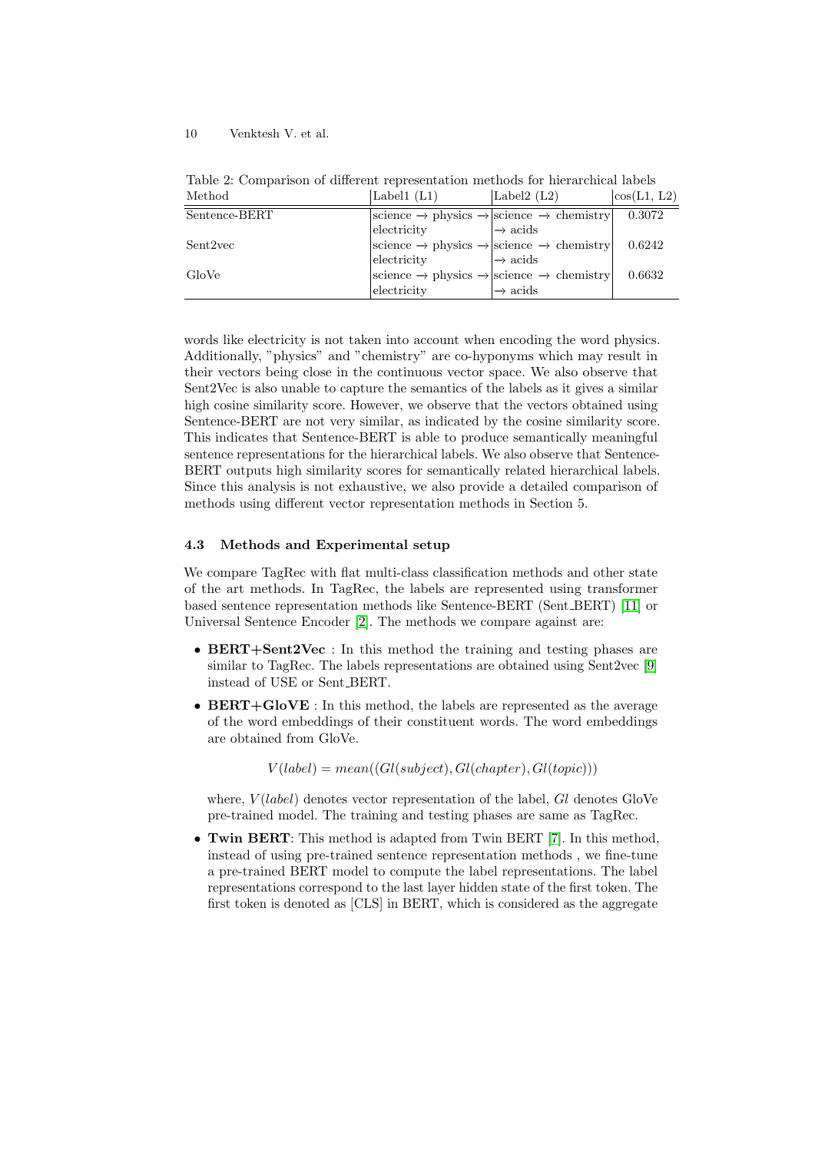| Method        | Labell $(L1)$         | Label2 $(L2)$                                                                                                | $ \cos(L1, L2) $ |
|---------------|-----------------------|--------------------------------------------------------------------------------------------------------------|------------------|
| Sentence-BERT |                       | $ s^{\text{cience}} \rightarrow \text{physics} \rightarrow  s^{\text{cience}} \rightarrow \text{chemistry} $ | 0.3072           |
|               | $ {\rm electricity} $ | $\mapsto$ acids                                                                                              |                  |
| Sent2yec      |                       | $ {\rm science}\rightarrow{\rm physics}\rightarrow {\rm science}\rightarrow{\rm chemistry} $                 | 0.6242           |
|               | $ {\rm electricity} $ | $\rightarrow$ acids                                                                                          |                  |
| GloVe         |                       | $ s$ cience $\rightarrow$ physics $\rightarrow$ science $\rightarrow$ chemistry                              | 0.6632           |
|               | electricity           | $\rightarrow$ acids                                                                                          |                  |

Table 2: Comparison of different representation methods for hierarchical labels

words like electricity is not taken into account when encoding the word physics. Additionally, "physics" and "chemistry" are co-hyponyms which may result in their vectors being close in the continuous vector space. We also observe that Sent2Vec is also unable to capture the semantics of the labels as it gives a similar high cosine similarity score. However, we observe that the vectors obtained using Sentence-BERT are not very similar, as indicated by the cosine similarity score. This indicates that Sentence-BERT is able to produce semantically meaningful sentence representations for the hierarchical labels. We also observe that Sentence-BERT outputs high similarity scores for semantically related hierarchical labels. Since this analysis is not exhaustive, we also provide a detailed comparison of methods using different vector representation methods in Section 5.

#### 4.3 Methods and Experimental setup

We compare TagRec with flat multi-class classification methods and other state of the art methods. In TagRec, the labels are represented using transformer based sentence representation methods like Sentence-BERT (Sent BERT) [\[11\]](#page-15-8) or Universal Sentence Encoder [\[2\]](#page-14-4). The methods we compare against are:

- BERT+Sent2Vec : In this method the training and testing phases are similar to TagRec. The labels representations are obtained using Sent2vec [\[9\]](#page-15-7) instead of USE or Sent BERT.
- **BERT+GloVE**: In this method, the labels are represented as the average of the word embeddings of their constituent words. The word embeddings are obtained from GloVe.

 $V(label) = mean((Gl(subject), Gl(chapters), Gl(topic)))$ 

where,  $V(label)$  denotes vector representation of the label,  $Gl$  denotes GloVe pre-trained model. The training and testing phases are same as TagRec.

• Twin BERT: This method is adapted from Twin BERT [\[7\]](#page-15-10). In this method, instead of using pre-trained sentence representation methods , we fine-tune a pre-trained BERT model to compute the label representations. The label representations correspond to the last layer hidden state of the first token. The first token is denoted as [CLS] in BERT, which is considered as the aggregate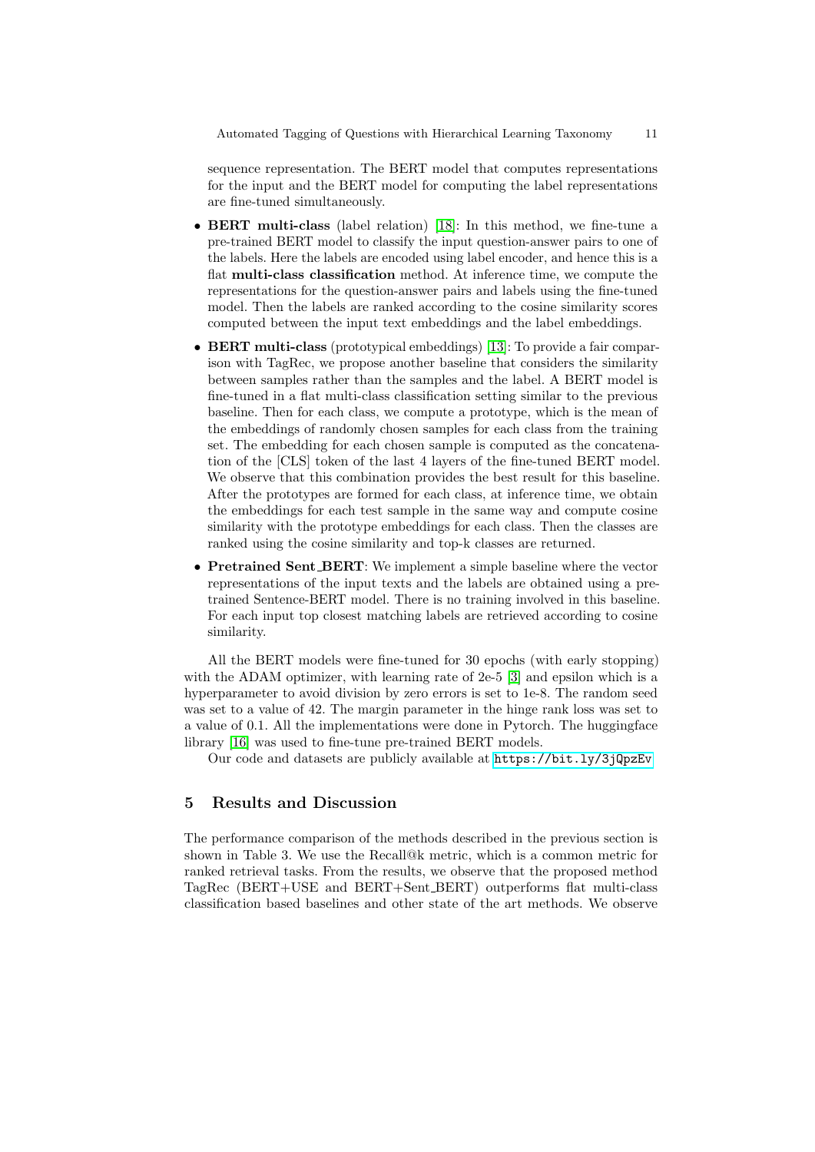sequence representation. The BERT model that computes representations for the input and the BERT model for computing the label representations are fine-tuned simultaneously.

- BERT multi-class (label relation) [\[18\]](#page-15-0): In this method, we fine-tune a pre-trained BERT model to classify the input question-answer pairs to one of the labels. Here the labels are encoded using label encoder, and hence this is a flat multi-class classification method. At inference time, we compute the representations for the question-answer pairs and labels using the fine-tuned model. Then the labels are ranked according to the cosine similarity scores computed between the input text embeddings and the label embeddings.
- BERT multi-class (prototypical embeddings) [\[13\]](#page-15-11): To provide a fair comparison with TagRec, we propose another baseline that considers the similarity between samples rather than the samples and the label. A BERT model is fine-tuned in a flat multi-class classification setting similar to the previous baseline. Then for each class, we compute a prototype, which is the mean of the embeddings of randomly chosen samples for each class from the training set. The embedding for each chosen sample is computed as the concatenation of the [CLS] token of the last 4 layers of the fine-tuned BERT model. We observe that this combination provides the best result for this baseline. After the prototypes are formed for each class, at inference time, we obtain the embeddings for each test sample in the same way and compute cosine similarity with the prototype embeddings for each class. Then the classes are ranked using the cosine similarity and top-k classes are returned.
- Pretrained Sent\_BERT: We implement a simple baseline where the vector representations of the input texts and the labels are obtained using a pretrained Sentence-BERT model. There is no training involved in this baseline. For each input top closest matching labels are retrieved according to cosine similarity.

All the BERT models were fine-tuned for 30 epochs (with early stopping) with the ADAM optimizer, with learning rate of 2e-5 [\[3\]](#page-14-3) and epsilon which is a hyperparameter to avoid division by zero errors is set to 1e-8. The random seed was set to a value of 42. The margin parameter in the hinge rank loss was set to a value of 0.1. All the implementations were done in Pytorch. The huggingface library [\[16\]](#page-15-12) was used to fine-tune pre-trained BERT models.

Our code and datasets are publicly available at <https://bit.ly/3jQpzEv>

# 5 Results and Discussion

The performance comparison of the methods described in the previous section is shown in Table 3. We use the Recall@k metric, which is a common metric for ranked retrieval tasks. From the results, we observe that the proposed method TagRec (BERT+USE and BERT+Sent BERT) outperforms flat multi-class classification based baselines and other state of the art methods. We observe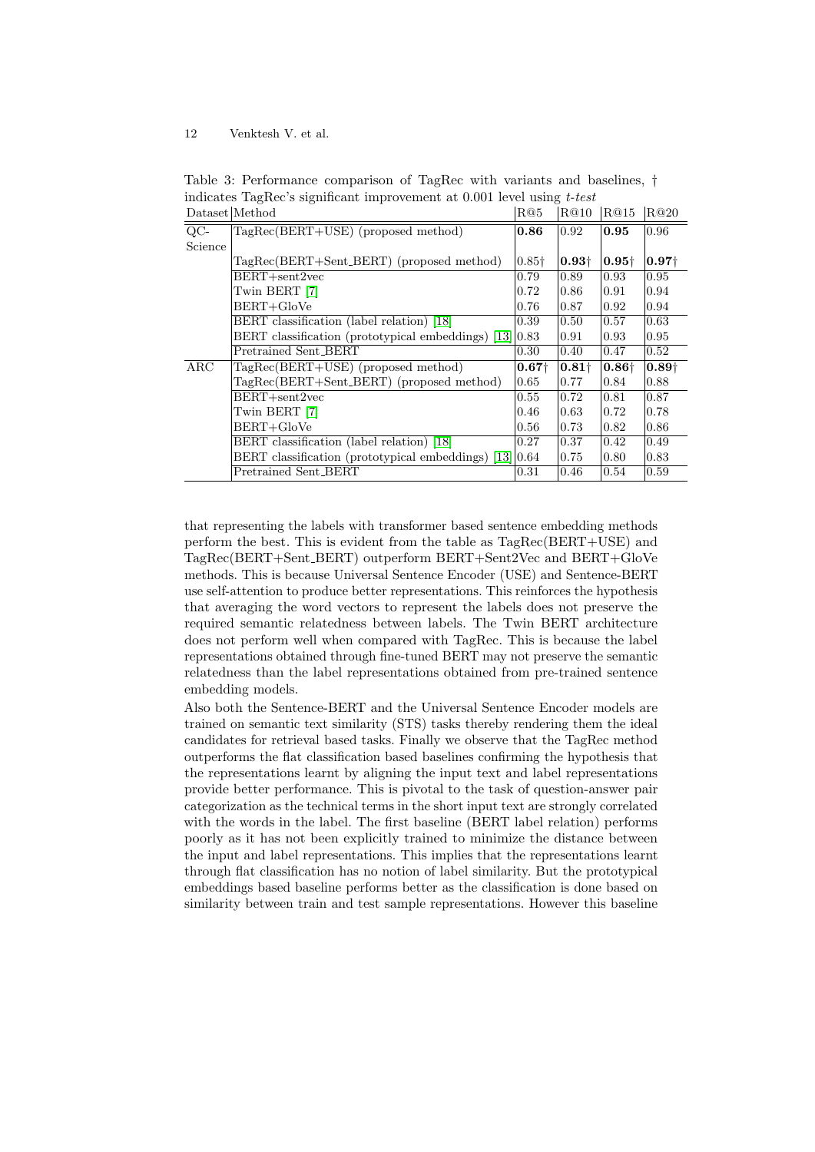| Dataset Method |                                                                | R@5             | R@10          | R@15               | R@20              |
|----------------|----------------------------------------------------------------|-----------------|---------------|--------------------|-------------------|
| $QC-$          | $TagRec(BERT+USE)$ (proposed method)                           | 0.86            | 0.92          | 0.95               | 0.96              |
| Science        |                                                                |                 |               |                    |                   |
|                | TagRec(BERT+Sent_BERT) (proposed method)                       | $ 0.85 \dagger$ | $0.93\dagger$ | $\bm{ 0.95^+}$     | $0.97\dagger$     |
|                | BERT+sent2vec                                                  | 0.79            | 0.89          | 0.93               | 0.95              |
|                | Twin BERT [7]                                                  | 0.72            | 0.86          | 0.91               | 0.94              |
|                | $BERT+GloVe$                                                   | 0.76            | 0.87          | 0.92               | 0.94              |
|                | BERT classification (label relation) [18]                      | 0.39            | 0.50          | 0.57               | 0.63              |
|                | BERT classification (prototypical embeddings) $[13]   0.83$    |                 | 0.91          | 0.93               | 0.95              |
|                | Pretrained Sent BERT                                           | 0.30            | 0.40          | 0.47               | 0.52              |
| $\rm{ARC}$     | $TagRec(BERT+USE)$ (proposed method)                           | $0.67\dagger$   | $0.81\dagger$ | $\vert 0.86 \vert$ | 0.89 <sup>†</sup> |
|                | TagRec(BERT+Sent_BERT) (proposed method)                       | 0.65            | 0.77          | 0.84               | 0.88              |
|                | $BERT + sent2vec$                                              | 0.55            | 0.72          | 0.81               | 0.87              |
|                | Twin BERT [7]                                                  | 0.46            | 0.63          | 0.72               | 0.78              |
|                | $BERT+GloVe$                                                   | 0.56            | 0.73          | 0.82               | 0.86              |
|                | BERT classification (label relation) [18]                      | 0.27            | 0.37          | 0.42               | 0.49              |
|                | BERT classification (prototypical embeddings) $[13] \, [0.64]$ |                 | 0.75          | 0.80               | 0.83              |
|                | Pretrained Sent_BERT                                           | $ 0.31\rangle$  | 0.46          | 0.54               | 0.59              |

Table 3: Performance comparison of TagRec with variants and baselines, † indicates TagRec's significant improvement at 0.001 level using t-test

that representing the labels with transformer based sentence embedding methods perform the best. This is evident from the table as TagRec(BERT+USE) and TagRec(BERT+Sent BERT) outperform BERT+Sent2Vec and BERT+GloVe methods. This is because Universal Sentence Encoder (USE) and Sentence-BERT use self-attention to produce better representations. This reinforces the hypothesis that averaging the word vectors to represent the labels does not preserve the required semantic relatedness between labels. The Twin BERT architecture does not perform well when compared with TagRec. This is because the label representations obtained through fine-tuned BERT may not preserve the semantic relatedness than the label representations obtained from pre-trained sentence embedding models.

Also both the Sentence-BERT and the Universal Sentence Encoder models are trained on semantic text similarity (STS) tasks thereby rendering them the ideal candidates for retrieval based tasks. Finally we observe that the TagRec method outperforms the flat classification based baselines confirming the hypothesis that the representations learnt by aligning the input text and label representations provide better performance. This is pivotal to the task of question-answer pair categorization as the technical terms in the short input text are strongly correlated with the words in the label. The first baseline (BERT label relation) performs poorly as it has not been explicitly trained to minimize the distance between the input and label representations. This implies that the representations learnt through flat classification has no notion of label similarity. But the prototypical embeddings based baseline performs better as the classification is done based on similarity between train and test sample representations. However this baseline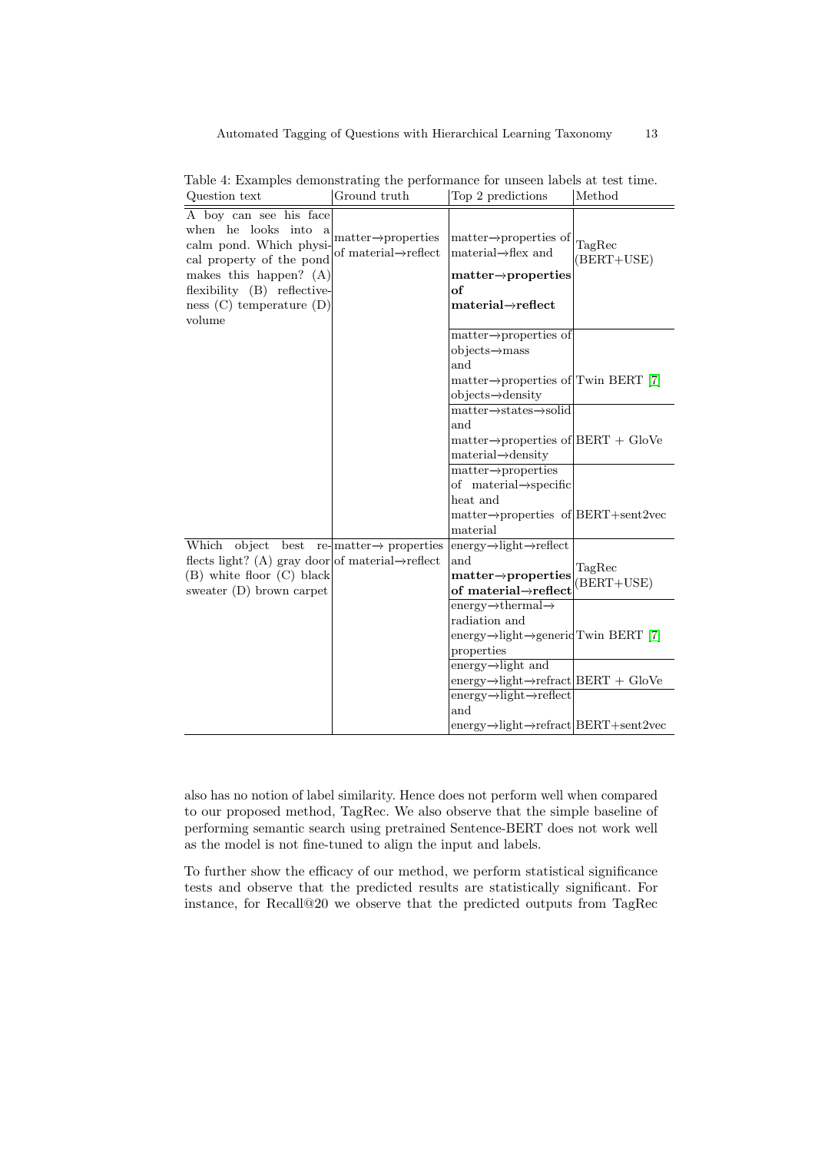| Question text                                                               | Ground truth                                                         | Top 2 predictions                                                                           | Method               |
|-----------------------------------------------------------------------------|----------------------------------------------------------------------|---------------------------------------------------------------------------------------------|----------------------|
| A boy can see his face                                                      |                                                                      |                                                                                             |                      |
| when he looks into a<br>calm pond. Which physi-<br>cal property of the pond | $matter \rightarrow$ properties<br>of material $\rightarrow$ reflect | $matter \rightarrow$ properties of<br>$material \rightarrow flex$ and                       | TagRec<br>(BERT+USE) |
| makes this happen? $(A)$                                                    |                                                                      | $\text{matter}\rightarrow\text{properties}$                                                 |                      |
| flexibility (B) reflective-                                                 |                                                                      | of                                                                                          |                      |
| ness $(C)$ temperature $(D)$                                                |                                                                      | $material \rightarrow reflect$                                                              |                      |
| volume                                                                      |                                                                      |                                                                                             |                      |
|                                                                             |                                                                      | $matter \rightarrow$ properties of                                                          |                      |
|                                                                             |                                                                      | $objects \rightarrow mass$                                                                  |                      |
|                                                                             |                                                                      | and                                                                                         |                      |
|                                                                             |                                                                      | $matter \rightarrow$ properties of Twin BERT [7]                                            |                      |
|                                                                             |                                                                      | objects→density                                                                             |                      |
|                                                                             |                                                                      | $matter \rightarrow states \rightarrow solid$                                               |                      |
|                                                                             |                                                                      | and                                                                                         |                      |
|                                                                             |                                                                      | $matter \rightarrow$ properties of BERT + GloVe                                             |                      |
|                                                                             |                                                                      | $material \rightarrow density$                                                              |                      |
|                                                                             |                                                                      | $matter \rightarrow$ properties                                                             |                      |
|                                                                             |                                                                      | of material $\rightarrow$ specific                                                          |                      |
|                                                                             |                                                                      | heat and                                                                                    |                      |
|                                                                             |                                                                      | $matter \rightarrow$ properties of BERT+sent2vec                                            |                      |
|                                                                             |                                                                      | material                                                                                    |                      |
| Which<br>object<br>best                                                     | re- $\vert$ matter $\rightarrow$ properties                          | energy→light→reflect                                                                        |                      |
| flects light? (A) gray door of material $\rightarrow$ reflect               |                                                                      | and                                                                                         | TagRec               |
| (B) white floor (C) black                                                   |                                                                      | $matter \rightarrow$ properties                                                             | (BERT+USE)           |
| sweater (D) brown carpet                                                    |                                                                      | of material $\rightarrow$ reflect                                                           |                      |
|                                                                             |                                                                      | $energy\rightarrow thermal\rightarrow$                                                      |                      |
|                                                                             |                                                                      | radiation and                                                                               |                      |
|                                                                             |                                                                      | energy→light→generic Twin BERT [7]                                                          |                      |
|                                                                             |                                                                      | properties                                                                                  |                      |
|                                                                             |                                                                      | energy $\rightarrow$ light and                                                              |                      |
|                                                                             |                                                                      | $\text{energy}\rightarrow\text{light}\rightarrow\text{refract} \text{BERT} + \text{GloVe}$  |                      |
|                                                                             |                                                                      | $energy \rightarrow light \rightarrow reflect$                                              |                      |
|                                                                             |                                                                      | and                                                                                         |                      |
|                                                                             |                                                                      | $\text{energy}\rightarrow\text{light}\rightarrow\text{refract} \text{BERT}+\text{sent2vec}$ |                      |

Table 4: Examples demonstrating the performance for unseen labels at test time.

also has no notion of label similarity. Hence does not perform well when compared to our proposed method, TagRec. We also observe that the simple baseline of performing semantic search using pretrained Sentence-BERT does not work well as the model is not fine-tuned to align the input and labels.

To further show the efficacy of our method, we perform statistical significance tests and observe that the predicted results are statistically significant. For instance, for Recall@20 we observe that the predicted outputs from TagRec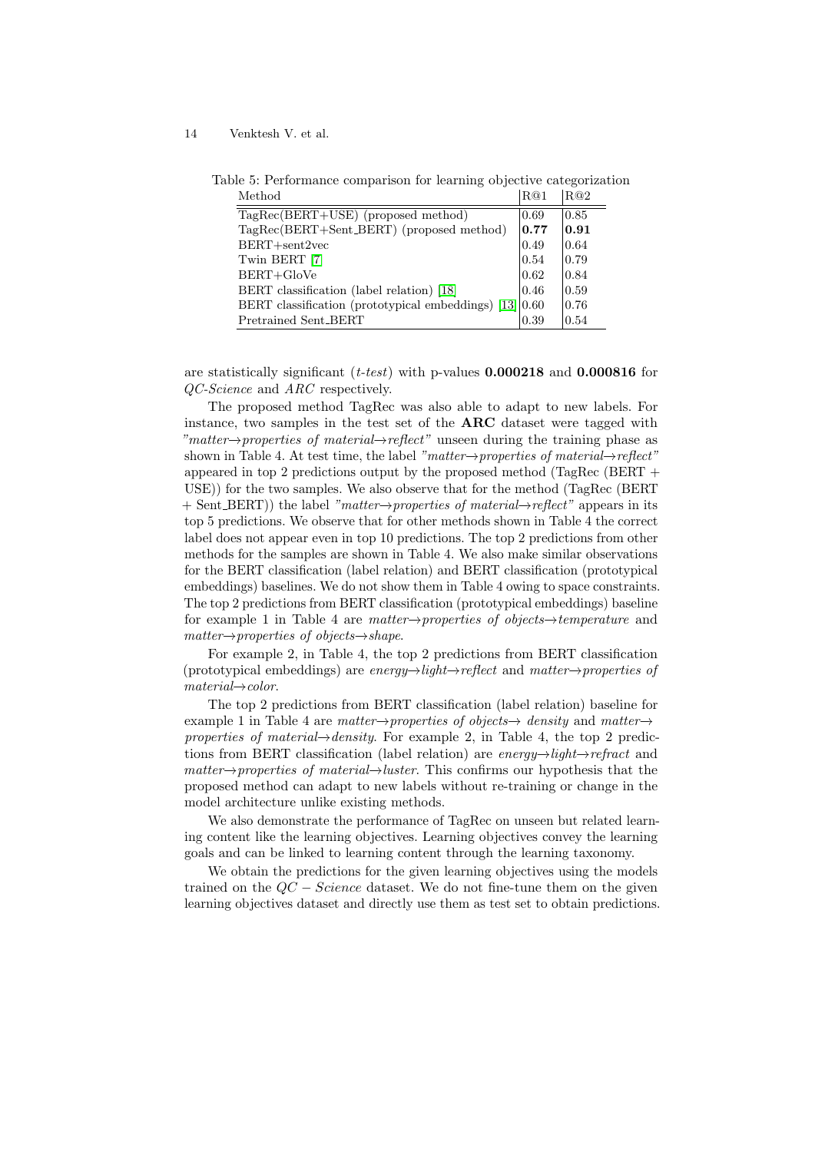14 Venktesh V. et al.

Table 5: Performance comparison for learning objective categorization

| Method                                                      | R@1            | R@2            |
|-------------------------------------------------------------|----------------|----------------|
| TagRec(BERT+USE) (proposed method)                          | 0.69           | 0.85           |
| TagRec(BERT+Sent_BERT) (proposed method)                    | 0.77           | 0.91           |
| BERT+sent2vec                                               | $ 0.49\rangle$ | $ 0.64\rangle$ |
| Twin BERT [7]                                               | $ 0.54\rangle$ | 0.79           |
| $BERT+GloVe$                                                | $ 0.62\rangle$ | $ 0.84\rangle$ |
| BERT classification (label relation) [18]                   | 0.46           | 0.59           |
| BERT classification (prototypical embeddings) $[13]   0.60$ |                | 0.76           |
| Pretrained Sent_BERT                                        | 0.39           | 0.54           |

are statistically significant  $(t-test)$  with p-values 0.000218 and 0.000816 for QC-Science and ARC respectively.

The proposed method TagRec was also able to adapt to new labels. For instance, two samples in the test set of the ARC dataset were tagged with "matter−→properties of material−→reflect" unseen during the training phase as shown in Table 4. At test time, the label "matter→properties of material→reflect" appeared in top 2 predictions output by the proposed method (TagRec (BERT  $+$ USE)) for the two samples. We also observe that for the method (TagRec (BERT + Sent BERT)) the label "matter→properties of material→reflect" appears in its top 5 predictions. We observe that for other methods shown in Table 4 the correct label does not appear even in top 10 predictions. The top 2 predictions from other methods for the samples are shown in Table 4. We also make similar observations for the BERT classification (label relation) and BERT classification (prototypical embeddings) baselines. We do not show them in Table 4 owing to space constraints. The top 2 predictions from BERT classification (prototypical embeddings) baseline for example 1 in Table 4 are matter−→properties of objects−→temperature and matter→properties of objects→shape.

For example 2, in Table 4, the top 2 predictions from BERT classification (prototypical embeddings) are energy−→light−→reflect and matter−→properties of  $material \rightarrow color.$ 

The top 2 predictions from BERT classification (label relation) baseline for example 1 in Table 4 are matter $\rightarrow$ properties of objects $\rightarrow$  density and matter $\rightarrow$ properties of material→density. For example 2, in Table 4, the top 2 predictions from BERT classification (label relation) are energy→light→refract and matter−→properties of material−→luster. This confirms our hypothesis that the proposed method can adapt to new labels without re-training or change in the model architecture unlike existing methods.

We also demonstrate the performance of TagRec on unseen but related learning content like the learning objectives. Learning objectives convey the learning goals and can be linked to learning content through the learning taxonomy.

We obtain the predictions for the given learning objectives using the models trained on the  $QC - Science$  dataset. We do not fine-tune them on the given learning objectives dataset and directly use them as test set to obtain predictions.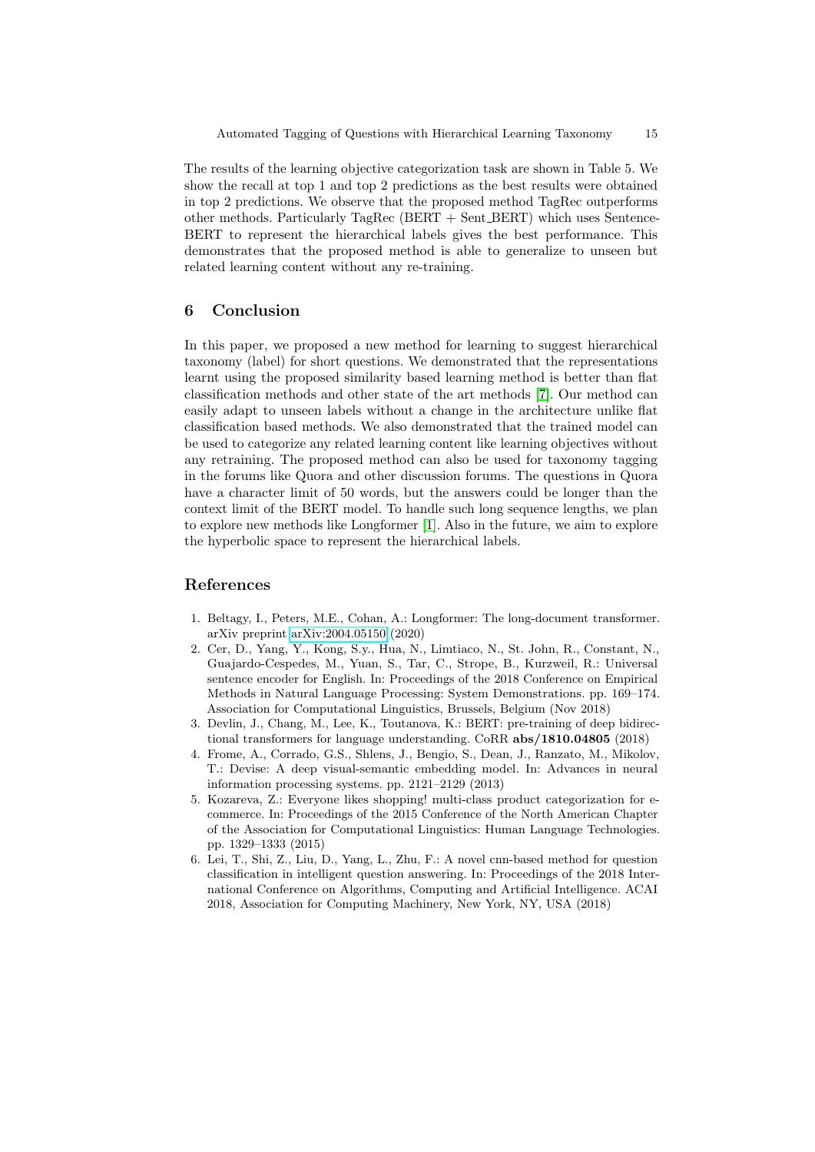The results of the learning objective categorization task are shown in Table 5. We show the recall at top 1 and top 2 predictions as the best results were obtained in top 2 predictions. We observe that the proposed method TagRec outperforms other methods. Particularly TagRec (BERT + Sent BERT) which uses Sentence-BERT to represent the hierarchical labels gives the best performance. This demonstrates that the proposed method is able to generalize to unseen but related learning content without any re-training.

### 6 Conclusion

In this paper, we proposed a new method for learning to suggest hierarchical taxonomy (label) for short questions. We demonstrated that the representations learnt using the proposed similarity based learning method is better than flat classification methods and other state of the art methods [\[7\]](#page-15-10). Our method can easily adapt to unseen labels without a change in the architecture unlike flat classification based methods. We also demonstrated that the trained model can be used to categorize any related learning content like learning objectives without any retraining. The proposed method can also be used for taxonomy tagging in the forums like Quora and other discussion forums. The questions in Quora have a character limit of 50 words, but the answers could be longer than the context limit of the BERT model. To handle such long sequence lengths, we plan to explore new methods like Longformer [\[1\]](#page-14-5). Also in the future, we aim to explore the hyperbolic space to represent the hierarchical labels.

## References

- <span id="page-14-5"></span>1. Beltagy, I., Peters, M.E., Cohan, A.: Longformer: The long-document transformer. arXiv preprint [arXiv:2004.05150](http://arxiv.org/abs/2004.05150) (2020)
- <span id="page-14-4"></span>2. Cer, D., Yang, Y., Kong, S.y., Hua, N., Limtiaco, N., St. John, R., Constant, N., Guajardo-Cespedes, M., Yuan, S., Tar, C., Strope, B., Kurzweil, R.: Universal sentence encoder for English. In: Proceedings of the 2018 Conference on Empirical Methods in Natural Language Processing: System Demonstrations. pp. 169–174. Association for Computational Linguistics, Brussels, Belgium (Nov 2018)
- <span id="page-14-3"></span>3. Devlin, J., Chang, M., Lee, K., Toutanova, K.: BERT: pre-training of deep bidirectional transformers for language understanding. CoRR abs/1810.04805 (2018)
- <span id="page-14-1"></span>4. Frome, A., Corrado, G.S., Shlens, J., Bengio, S., Dean, J., Ranzato, M., Mikolov, T.: Devise: A deep visual-semantic embedding model. In: Advances in neural information processing systems. pp. 2121–2129 (2013)
- <span id="page-14-0"></span>5. Kozareva, Z.: Everyone likes shopping! multi-class product categorization for ecommerce. In: Proceedings of the 2015 Conference of the North American Chapter of the Association for Computational Linguistics: Human Language Technologies. pp. 1329–1333 (2015)
- <span id="page-14-2"></span>6. Lei, T., Shi, Z., Liu, D., Yang, L., Zhu, F.: A novel cnn-based method for question classification in intelligent question answering. In: Proceedings of the 2018 International Conference on Algorithms, Computing and Artificial Intelligence. ACAI 2018, Association for Computing Machinery, New York, NY, USA (2018)